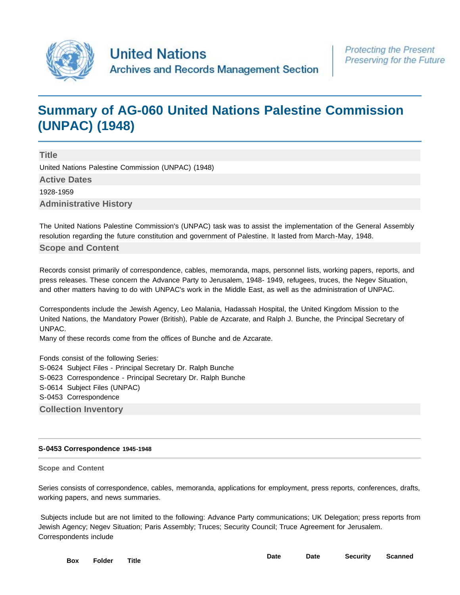

# **[Summary of AG-060 United Nations Palestine Commission](http://search.archives.un.org/united-nations-palestine-commission-unpac-1948) [\(UNPAC\) \(1948\)](http://search.archives.un.org/united-nations-palestine-commission-unpac-1948)**

**Title** United Nations Palestine Commission (UNPAC) (1948) **Active Dates** 1928-1959 **Administrative History**

The United Nations Palestine Commission's (UNPAC) task was to assist the implementation of the General Assembly resolution regarding the future constitution and government of Palestine. It lasted from March-May, 1948.

## **Scope and Content**

Records consist primarily of correspondence, cables, memoranda, maps, personnel lists, working papers, reports, and press releases. These concern the Advance Party to Jerusalem, 1948- 1949, refugees, truces, the Negev Situation, and other matters having to do with UNPAC's work in the Middle East, as well as the administration of UNPAC.

Correspondents include the Jewish Agency, Leo Malania, Hadassah Hospital, the United Kingdom Mission to the United Nations, the Mandatory Power (British), Pable de Azcarate, and Ralph J. Bunche, the Principal Secretary of UNPAC.

Many of these records come from the offices of Bunche and de Azcarate.

Fonds consist of the following Series: S-0624 Subject Files - Principal Secretary Dr. Ralph Bunche S-0623 Correspondence - Principal Secretary Dr. Ralph Bunche S-0614 Subject Files (UNPAC) S-0453 Correspondence **Collection Inventory**

#### **S-0453 Correspondence 1945-1948**

#### **Scope and Content**

Series consists of correspondence, cables, memoranda, applications for employment, press reports, conferences, drafts, working papers, and news summaries.

 Subjects include but are not limited to the following: Advance Party communications; UK Delegation; press reports from Jewish Agency; Negev Situation; Paris Assembly; Truces; Security Council; Truce Agreement for Jerusalem. Correspondents include

| Box Folder | <b>Title</b> | <b>Date</b> |  |  |
|------------|--------------|-------------|--|--|
|            |              |             |  |  |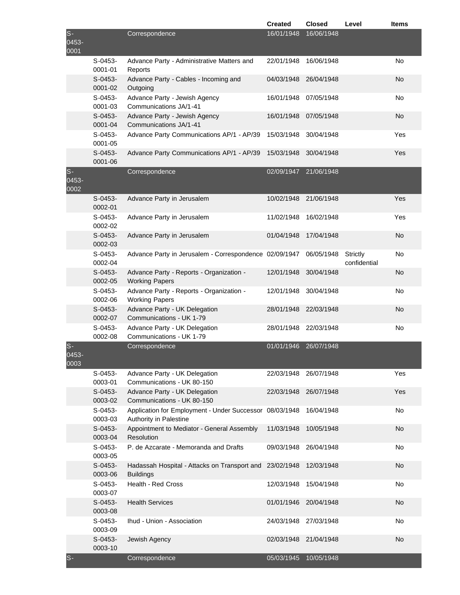|                       |                      |                                                                                   | <b>Created</b>        | <b>Closed</b> | Level                    | <b>Items</b> |
|-----------------------|----------------------|-----------------------------------------------------------------------------------|-----------------------|---------------|--------------------------|--------------|
| $S-$<br>0453-<br>0001 |                      | Correspondence                                                                    | 16/01/1948            | 16/06/1948    |                          |              |
|                       | $S-0453-$<br>0001-01 | Advance Party - Administrative Matters and<br>Reports                             | 22/01/1948            | 16/06/1948    |                          | No           |
|                       | $S-0453-$<br>0001-02 | Advance Party - Cables - Incoming and<br>Outgoing                                 | 04/03/1948            | 26/04/1948    |                          | No           |
|                       | $S-0453-$<br>0001-03 | Advance Party - Jewish Agency<br>Communications JA/1-41                           | 16/01/1948            | 07/05/1948    |                          | No           |
|                       | $S-0453-$<br>0001-04 | Advance Party - Jewish Agency<br>Communications JA/1-41                           | 16/01/1948            | 07/05/1948    |                          | No           |
|                       | S-0453-<br>0001-05   | Advance Party Communications AP/1 - AP/39                                         | 15/03/1948            | 30/04/1948    |                          | Yes          |
|                       | $S-0453-$<br>0001-06 | Advance Party Communications AP/1 - AP/39                                         | 15/03/1948            | 30/04/1948    |                          | Yes          |
| $S-$<br>0453-<br>0002 |                      | Correspondence                                                                    | 02/09/1947            | 21/06/1948    |                          |              |
|                       | $S-0453-$<br>0002-01 | Advance Party in Jerusalem                                                        | 10/02/1948            | 21/06/1948    |                          | Yes          |
|                       | $S-0453-$<br>0002-02 | Advance Party in Jerusalem                                                        | 11/02/1948            | 16/02/1948    |                          | Yes          |
|                       | $S-0453-$<br>0002-03 | Advance Party in Jerusalem                                                        | 01/04/1948            | 17/04/1948    |                          | No           |
|                       | $S-0453-$<br>0002-04 | Advance Party in Jerusalem - Correspondence 02/09/1947                            |                       | 06/05/1948    | Strictly<br>confidential | No           |
|                       | $S-0453-$<br>0002-05 | Advance Party - Reports - Organization -<br><b>Working Papers</b>                 | 12/01/1948            | 30/04/1948    |                          | No           |
|                       | $S-0453-$<br>0002-06 | Advance Party - Reports - Organization -<br><b>Working Papers</b>                 | 12/01/1948            | 30/04/1948    |                          | No           |
|                       | $S-0453-$<br>0002-07 | Advance Party - UK Delegation<br>Communications - UK 1-79                         | 28/01/1948            | 22/03/1948    |                          | No           |
|                       | $S-0453-$<br>0002-08 | Advance Party - UK Delegation<br>Communications - UK 1-79                         | 28/01/1948            | 22/03/1948    |                          | No           |
| $S-$<br>0453-<br>0003 |                      | Correspondence                                                                    | 01/01/1946 26/07/1948 |               |                          |              |
|                       | S-0453-<br>0003-01   | Advance Party - UK Delegation<br>Communications - UK 80-150                       | 22/03/1948            | 26/07/1948    |                          | Yes          |
|                       | S-0453-<br>0003-02   | Advance Party - UK Delegation<br>Communications - UK 80-150                       | 22/03/1948            | 26/07/1948    |                          | Yes          |
|                       | S-0453-<br>0003-03   | Application for Employment - Under Successor 08/03/1948<br>Authority in Palestine |                       | 16/04/1948    |                          | No           |
|                       | S-0453-<br>0003-04   | Appointment to Mediator - General Assembly<br>Resolution                          | 11/03/1948            | 10/05/1948    |                          | <b>No</b>    |
|                       | S-0453-<br>0003-05   | P. de Azcarate - Memoranda and Drafts                                             | 09/03/1948            | 26/04/1948    |                          | No           |
|                       | $S-0453-$<br>0003-06 | Hadassah Hospital - Attacks on Transport and<br><b>Buildings</b>                  | 23/02/1948            | 12/03/1948    |                          | <b>No</b>    |
|                       | S-0453-<br>0003-07   | Health - Red Cross                                                                | 12/03/1948            | 15/04/1948    |                          | No           |
|                       | S-0453-<br>0003-08   | <b>Health Services</b>                                                            | 01/01/1946            | 20/04/1948    |                          | No           |
|                       | S-0453-<br>0003-09   | Ihud - Union - Association                                                        | 24/03/1948            | 27/03/1948    |                          | No           |
|                       | S-0453-<br>0003-10   | Jewish Agency                                                                     | 02/03/1948            | 21/04/1948    |                          | No           |
| $S-$                  |                      | Correspondence                                                                    | 05/03/1945            | 10/05/1948    |                          |              |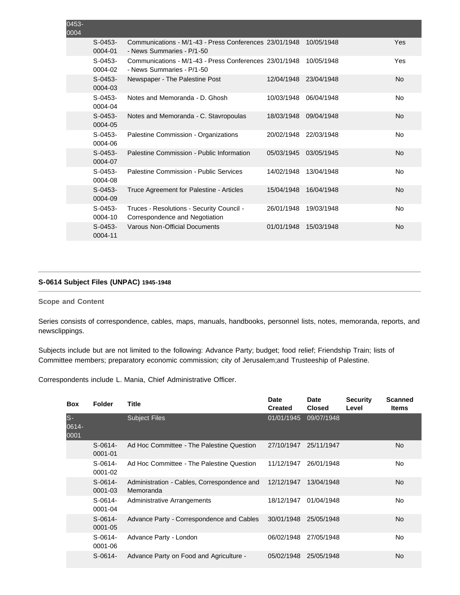| 0453-<br>0004 |                         |                                                                                     |            |            |           |
|---------------|-------------------------|-------------------------------------------------------------------------------------|------------|------------|-----------|
|               | $S-0453-$<br>0004-01    | Communications - M/1-43 - Press Conferences 23/01/1948<br>- News Summaries - P/1-50 |            | 10/05/1948 | Yes       |
|               | $S-0453-$<br>0004-02    | Communications - M/1-43 - Press Conferences 23/01/1948<br>- News Summaries - P/1-50 |            | 10/05/1948 | Yes       |
|               | $S-0453-$<br>0004-03    | Newspaper - The Palestine Post                                                      | 12/04/1948 | 23/04/1948 | <b>No</b> |
|               | $S-0453-$<br>0004-04    | Notes and Memoranda - D. Ghosh                                                      | 10/03/1948 | 06/04/1948 | No        |
|               | $S-0453-$<br>0004-05    | Notes and Memoranda - C. Stavropoulas                                               | 18/03/1948 | 09/04/1948 | <b>No</b> |
|               | $S-0453-$<br>0004-06    | Palestine Commission - Organizations                                                | 20/02/1948 | 22/03/1948 | No        |
|               | $S-0453-$<br>0004-07    | Palestine Commission - Public Information                                           | 05/03/1945 | 03/05/1945 | <b>No</b> |
|               | $S-0453-$<br>0004-08    | Palestine Commission - Public Services                                              | 14/02/1948 | 13/04/1948 | No        |
|               | $S - 0453 -$<br>0004-09 | Truce Agreement for Palestine - Articles                                            | 15/04/1948 | 16/04/1948 | <b>No</b> |
|               | $S-0453-$<br>0004-10    | Truces - Resolutions - Security Council -<br>Correspondence and Negotiation         | 26/01/1948 | 19/03/1948 | No        |
|               | $S-0453-$<br>0004-11    | Varous Non-Official Documents                                                       | 01/01/1948 | 15/03/1948 | <b>No</b> |

# **S-0614 Subject Files (UNPAC) 1945-1948**

## **Scope and Content**

Series consists of correspondence, cables, maps, manuals, handbooks, personnel lists, notes, memoranda, reports, and newsclippings.

Subjects include but are not limited to the following: Advance Party; budget; food relief; Friendship Train; lists of Committee members; preparatory economic commission; city of Jerusalem;and Trusteeship of Palestine.

Correspondents include L. Mania, Chief Administrative Officer.

| <b>Box</b>            | <b>Folder</b>            | <b>Title</b>                                             | <b>Date</b><br><b>Created</b> | <b>Date</b><br><b>Closed</b> | <b>Security</b><br>Level | <b>Scanned</b><br><b>Items</b> |
|-----------------------|--------------------------|----------------------------------------------------------|-------------------------------|------------------------------|--------------------------|--------------------------------|
| $S-$<br>0614-<br>0001 |                          | <b>Subject Files</b>                                     | 01/01/1945                    | 09/07/1948                   |                          |                                |
|                       | $S-0614-$<br>0001-01     | Ad Hoc Committee - The Palestine Question                | 27/10/1947                    | 25/11/1947                   |                          | <b>No</b>                      |
|                       | $S-0614-$<br>$0001 - 02$ | Ad Hoc Committee - The Palestine Question                | 11/12/1947                    | 26/01/1948                   |                          | No                             |
|                       | $S-0614-$<br>0001-03     | Administration - Cables, Correspondence and<br>Memoranda | 12/12/1947                    | 13/04/1948                   |                          | <b>No</b>                      |
|                       | $S-0614-$<br>$0001 - 04$ | Administrative Arrangements                              | 18/12/1947                    | 01/04/1948                   |                          | No                             |
|                       | $S-0614-$<br>$0001 - 05$ | Advance Party - Correspondence and Cables                | 30/01/1948                    | 25/05/1948                   |                          | <b>No</b>                      |
|                       | $S-0614-$<br>0001-06     | Advance Party - London                                   | 06/02/1948                    | 27/05/1948                   |                          | No                             |
|                       | $S-0614-$                | Advance Party on Food and Agriculture -                  | 05/02/1948                    | 25/05/1948                   |                          | No                             |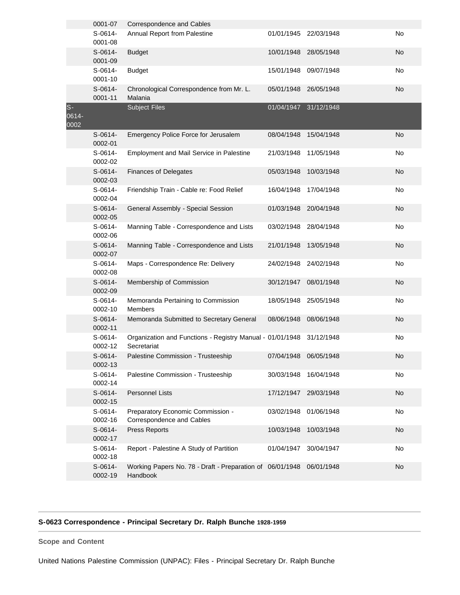|                       | 0001-07              | Correspondence and Cables                                                |            |            |           |
|-----------------------|----------------------|--------------------------------------------------------------------------|------------|------------|-----------|
|                       | $S-0614-$<br>0001-08 | Annual Report from Palestine                                             | 01/01/1945 | 22/03/1948 | No        |
|                       | $S-0614-$<br>0001-09 | <b>Budget</b>                                                            | 10/01/1948 | 28/05/1948 | <b>No</b> |
|                       | $S-0614-$<br>0001-10 | <b>Budget</b>                                                            | 15/01/1948 | 09/07/1948 | No        |
|                       | $S-0614-$<br>0001-11 | Chronological Correspondence from Mr. L.<br>Malania                      | 05/01/1948 | 26/05/1948 | No        |
| $S-$<br>0614-<br>0002 |                      | <b>Subject Files</b>                                                     | 01/04/1947 | 31/12/1948 |           |
|                       | $S-0614-$<br>0002-01 | Emergency Police Force for Jerusalem                                     | 08/04/1948 | 15/04/1948 | <b>No</b> |
|                       | $S-0614-$<br>0002-02 | Employment and Mail Service in Palestine                                 | 21/03/1948 | 11/05/1948 | No        |
|                       | $S-0614-$<br>0002-03 | <b>Finances of Delegates</b>                                             | 05/03/1948 | 10/03/1948 | No        |
|                       | $S-0614-$<br>0002-04 | Friendship Train - Cable re: Food Relief                                 | 16/04/1948 | 17/04/1948 | No        |
|                       | S-0614-<br>0002-05   | General Assembly - Special Session                                       | 01/03/1948 | 20/04/1948 | No        |
|                       | S-0614-<br>0002-06   | Manning Table - Correspondence and Lists                                 | 03/02/1948 | 28/04/1948 | No        |
|                       | $S-0614-$<br>0002-07 | Manning Table - Correspondence and Lists                                 | 21/01/1948 | 13/05/1948 | No        |
|                       | S-0614-<br>0002-08   | Maps - Correspondence Re: Delivery                                       | 24/02/1948 | 24/02/1948 | No        |
|                       | $S-0614-$<br>0002-09 | Membership of Commission                                                 | 30/12/1947 | 08/01/1948 | No        |
|                       | S-0614-<br>0002-10   | Memoranda Pertaining to Commission<br><b>Members</b>                     | 18/05/1948 | 25/05/1948 | No        |
|                       | $S-0614-$<br>0002-11 | Memoranda Submitted to Secretary General                                 | 08/06/1948 | 08/06/1948 | <b>No</b> |
|                       | $S-0614-$<br>0002-12 | Organization and Functions - Registry Manual - 01/01/1948<br>Secretariat |            | 31/12/1948 | No        |
|                       | S-0614-<br>0002-13   | Palestine Commission - Trusteeship                                       | 07/04/1948 | 06/05/1948 | No        |
|                       | S-0614-<br>0002-14   | Palestine Commission - Trusteeship                                       | 30/03/1948 | 16/04/1948 | No        |
|                       | $S-0614-$<br>0002-15 | <b>Personnel Lists</b>                                                   | 17/12/1947 | 29/03/1948 | No        |
|                       | $S-0614-$<br>0002-16 | Preparatory Economic Commission -<br>Correspondence and Cables           | 03/02/1948 | 01/06/1948 | No        |
|                       | $S-0614-$<br>0002-17 | Press Reports                                                            | 10/03/1948 | 10/03/1948 | No        |
|                       | S-0614-<br>0002-18   | Report - Palestine A Study of Partition                                  | 01/04/1947 | 30/04/1947 | No        |
|                       | S-0614-<br>0002-19   | Working Papers No. 78 - Draft - Preparation of 06/01/1948<br>Handbook    |            | 06/01/1948 | No        |

# **S-0623 Correspondence - Principal Secretary Dr. Ralph Bunche 1928-1959**

**Scope and Content** 

United Nations Palestine Commission (UNPAC): Files - Principal Secretary Dr. Ralph Bunche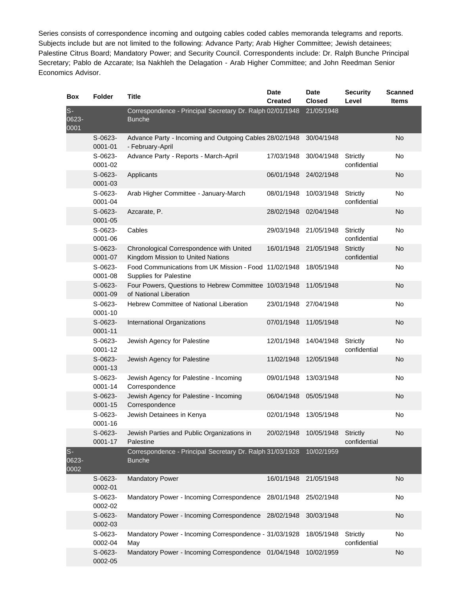Series consists of correspondence incoming and outgoing cables coded cables memoranda telegrams and reports. Subjects include but are not limited to the following: Advance Party; Arab Higher Committee; Jewish detainees; Palestine Citrus Board; Mandatory Power; and Security Council. Correspondents include: Dr. Ralph Bunche Principal Secretary; Pablo de Azcarate; Isa Nakhleh the Delagation - Arab Higher Committee; and John Reedman Senior Economics Advisor.

| Box                   | <b>Folder</b>            | <b>Title</b>                                                                           | <b>Date</b>    | <b>Date</b>   | <b>Security</b>                 | <b>Scanned</b> |
|-----------------------|--------------------------|----------------------------------------------------------------------------------------|----------------|---------------|---------------------------------|----------------|
|                       |                          |                                                                                        | <b>Created</b> | <b>Closed</b> | Level                           | <b>Items</b>   |
| $S-$<br>0623-<br>0001 |                          | Correspondence - Principal Secretary Dr. Ralph 02/01/1948<br><b>Bunche</b>             |                | 21/05/1948    |                                 |                |
|                       | $S-0623-$<br>0001-01     | Advance Party - Incoming and Outgoing Cables 28/02/1948<br>- February-April            |                | 30/04/1948    |                                 | No             |
|                       | $S-0623-$<br>0001-02     | Advance Party - Reports - March-April                                                  | 17/03/1948     | 30/04/1948    | Strictly<br>confidential        | No             |
|                       | $S-0623-$<br>0001-03     | Applicants                                                                             | 06/01/1948     | 24/02/1948    |                                 | <b>No</b>      |
|                       | S-0623-<br>0001-04       | Arab Higher Committee - January-March                                                  | 08/01/1948     | 10/03/1948    | Strictly<br>confidential        | No             |
|                       | S-0623-<br>0001-05       | Azcarate, P.                                                                           | 28/02/1948     | 02/04/1948    |                                 | No             |
|                       | S-0623-<br>0001-06       | Cables                                                                                 | 29/03/1948     | 21/05/1948    | Strictly<br>confidential        | No             |
|                       | $S-0623-$<br>0001-07     | Chronological Correspondence with United<br>Kingdom Mission to United Nations          | 16/01/1948     | 21/05/1948    | <b>Strictly</b><br>confidential | No             |
|                       | S-0623-<br>0001-08       | Food Communications from UK Mission - Food 11/02/1948<br><b>Supplies for Palestine</b> |                | 18/05/1948    |                                 | No             |
|                       | $S-0623-$<br>0001-09     | Four Powers, Questions to Hebrew Committee 10/03/1948<br>of National Liberation        |                | 11/05/1948    |                                 | <b>No</b>      |
|                       | S-0623-<br>0001-10       | Hebrew Committee of National Liberation                                                | 23/01/1948     | 27/04/1948    |                                 | No             |
|                       | $S-0623-$<br>$0001 - 11$ | International Organizations                                                            | 07/01/1948     | 11/05/1948    |                                 | No             |
|                       | S-0623-<br>0001-12       | Jewish Agency for Palestine                                                            | 12/01/1948     | 14/04/1948    | Strictly<br>confidential        | No             |
|                       | $S-0623-$<br>0001-13     | Jewish Agency for Palestine                                                            | 11/02/1948     | 12/05/1948    |                                 | <b>No</b>      |
|                       | $S-0623-$<br>0001-14     | Jewish Agency for Palestine - Incoming<br>Correspondence                               | 09/01/1948     | 13/03/1948    |                                 | No             |
|                       | S-0623-<br>0001-15       | Jewish Agency for Palestine - Incoming<br>Correspondence                               | 06/04/1948     | 05/05/1948    |                                 | No             |
|                       | S-0623-<br>0001-16       | Jewish Detainees in Kenya                                                              | 02/01/1948     | 13/05/1948    |                                 | No             |
|                       | S-0623-<br>0001-17       | Jewish Parties and Public Organizations in<br>Palestine                                | 20/02/1948     | 10/05/1948    | <b>Strictly</b><br>confidential | No             |
| $S-$<br>0623-<br>0002 |                          | Correspondence - Principal Secretary Dr. Ralph 31/03/1928<br><b>Bunche</b>             |                | 10/02/1959    |                                 |                |
|                       | $S-0623-$<br>0002-01     | <b>Mandatory Power</b>                                                                 | 16/01/1948     | 21/05/1948    |                                 | No             |
|                       | S-0623-<br>0002-02       | Mandatory Power - Incoming Correspondence                                              | 28/01/1948     | 25/02/1948    |                                 | No             |
|                       | S-0623-<br>0002-03       | Mandatory Power - Incoming Correspondence                                              | 28/02/1948     | 30/03/1948    |                                 | No             |
|                       | S-0623-<br>0002-04       | Mandatory Power - Incoming Correspondence - 31/03/1928<br>May                          |                | 18/05/1948    | Strictly<br>confidential        | No             |
|                       | S-0623-<br>0002-05       | Mandatory Power - Incoming Correspondence                                              | 01/04/1948     | 10/02/1959    |                                 | No             |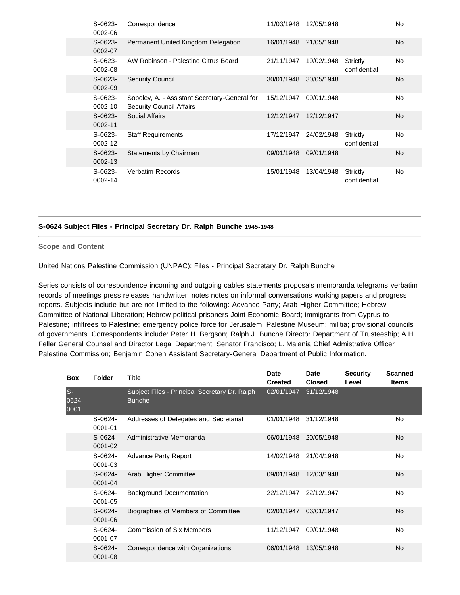| $S-0623-$<br>0002-06 | Correspondence                                                                   | 11/03/1948 | 12/05/1948 |                          | No             |
|----------------------|----------------------------------------------------------------------------------|------------|------------|--------------------------|----------------|
| $S-0623-$<br>0002-07 | Permanent United Kingdom Delegation                                              | 16/01/1948 | 21/05/1948 |                          | No.            |
| $S-0623-$<br>0002-08 | AW Robinson - Palestine Citrus Board                                             | 21/11/1947 | 19/02/1948 | Strictly<br>confidential | No             |
| $S-0623-$<br>0002-09 | <b>Security Council</b>                                                          | 30/01/1948 | 30/05/1948 |                          | No.            |
| $S-0623-$<br>0002-10 | Sobolev, A. - Assistant Secretary-General for<br><b>Security Council Affairs</b> | 15/12/1947 | 09/01/1948 |                          | No             |
| $S-0623-$<br>0002-11 | Social Affairs                                                                   | 12/12/1947 | 12/12/1947 |                          | No.            |
| $S-0623-$<br>0002-12 | <b>Staff Requirements</b>                                                        | 17/12/1947 | 24/02/1948 | Strictly<br>confidential | No             |
| $S-0623-$<br>0002-13 | Statements by Chairman                                                           | 09/01/1948 | 09/01/1948 |                          | N <sub>o</sub> |
| $S-0623-$<br>0002-14 | <b>Verbatim Records</b>                                                          | 15/01/1948 | 13/04/1948 | Strictly<br>confidential | No             |

### **S-0624 Subject Files - Principal Secretary Dr. Ralph Bunche 1945-1948**

**Scope and Content** 

United Nations Palestine Commission (UNPAC): Files - Principal Secretary Dr. Ralph Bunche

Series consists of correspondence incoming and outgoing cables statements proposals memoranda telegrams verbatim records of meetings press releases handwritten notes notes on informal conversations working papers and progress reports. Subjects include but are not limited to the following: Advance Party; Arab Higher Committee; Hebrew Committee of National Liberation; Hebrew political prisoners Joint Economic Board; immigrants from Cyprus to Palestine; infiltrees to Palestine; emergency police force for Jerusalem; Palestine Museum; militia; provisional councils of governments. Correspondents include: Peter H. Bergson; Ralph J. Bunche Director Department of Trusteeship; A.H. Feller General Counsel and Director Legal Department; Senator Francisco; L. Malania Chief Admistrative Officer Palestine Commission; Benjamin Cohen Assistant Secretary-General Department of Public Information.

| <b>Box</b>           | <b>Folder</b>            | <b>Title</b>                                                   | <b>Date</b><br><b>Created</b> | <b>Date</b><br><b>Closed</b> | <b>Security</b><br>Level | <b>Scanned</b><br><b>Items</b> |
|----------------------|--------------------------|----------------------------------------------------------------|-------------------------------|------------------------------|--------------------------|--------------------------------|
| ls-<br>0624-<br>0001 |                          | Subject Files - Principal Secretary Dr. Ralph<br><b>Bunche</b> | 02/01/1947                    | 31/12/1948                   |                          |                                |
|                      | $S-0624-$<br>0001-01     | Addresses of Delegates and Secretariat                         | 01/01/1948                    | 31/12/1948                   |                          | No                             |
|                      | $S-0624-$<br>0001-02     | Administrative Memoranda                                       | 06/01/1948                    | 20/05/1948                   |                          | No.                            |
|                      | $S-0624-$<br>0001-03     | <b>Advance Party Report</b>                                    | 14/02/1948                    | 21/04/1948                   |                          | No                             |
|                      | $S-0624-$<br>0001-04     | Arab Higher Committee                                          | 09/01/1948                    | 12/03/1948                   |                          | <b>No</b>                      |
|                      | $S-0624-$<br>0001-05     | Background Documentation                                       | 22/12/1947                    | 22/12/1947                   |                          | No                             |
|                      | $S-0624-$<br>0001-06     | Biographies of Members of Committee                            | 02/01/1947                    | 06/01/1947                   |                          | <b>No</b>                      |
|                      | $S-0624-$<br>0001-07     | <b>Commission of Six Members</b>                               | 11/12/1947                    | 09/01/1948                   |                          | No                             |
|                      | $S-0624-$<br>$0001 - 08$ | Correspondence with Organizations                              | 06/01/1948                    | 13/05/1948                   |                          | No.                            |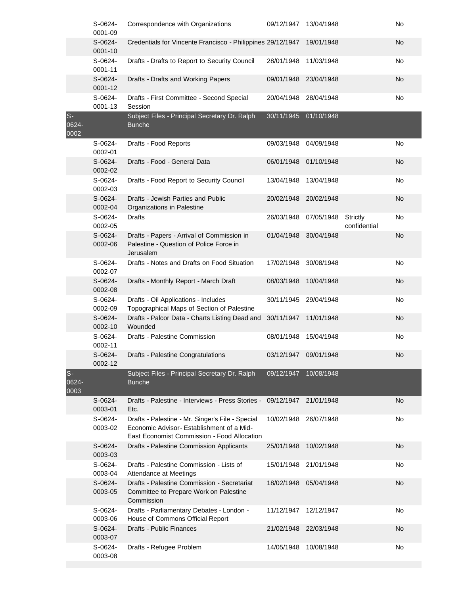|                        | S-0624-<br>0001-09   | Correspondence with Organizations                                                                                                           | 09/12/1947 | 13/04/1948 |                          | No        |
|------------------------|----------------------|---------------------------------------------------------------------------------------------------------------------------------------------|------------|------------|--------------------------|-----------|
|                        | S-0624-<br>0001-10   | Credentials for Vincente Francisco - Philippines 29/12/1947                                                                                 |            | 19/01/1948 |                          | No        |
|                        | S-0624-<br>0001-11   | Drafts - Drafts to Report to Security Council                                                                                               | 28/01/1948 | 11/03/1948 |                          | No        |
|                        | S-0624-<br>0001-12   | Drafts - Drafts and Working Papers                                                                                                          | 09/01/1948 | 23/04/1948 |                          | <b>No</b> |
|                        | S-0624-<br>0001-13   | Drafts - First Committee - Second Special<br>Session                                                                                        | 20/04/1948 | 28/04/1948 |                          | No        |
| $S -$<br>0624-<br>0002 |                      | Subject Files - Principal Secretary Dr. Ralph<br><b>Bunche</b>                                                                              | 30/11/1945 | 01/10/1948 |                          |           |
|                        | S-0624-<br>0002-01   | Drafts - Food Reports                                                                                                                       | 09/03/1948 | 04/09/1948 |                          | No        |
|                        | $S-0624-$<br>0002-02 | Drafts - Food - General Data                                                                                                                | 06/01/1948 | 01/10/1948 |                          | <b>No</b> |
|                        | S-0624-<br>0002-03   | Drafts - Food Report to Security Council                                                                                                    | 13/04/1948 | 13/04/1948 |                          | No        |
|                        | S-0624-<br>0002-04   | Drafts - Jewish Parties and Public<br>Organizations in Palestine                                                                            | 20/02/1948 | 20/02/1948 |                          | No        |
|                        | S-0624-<br>0002-05   | <b>Drafts</b>                                                                                                                               | 26/03/1948 | 07/05/1948 | Strictly<br>confidential | No        |
|                        | S-0624-<br>0002-06   | Drafts - Papers - Arrival of Commission in<br>Palestine - Question of Police Force in<br>Jerusalem                                          | 01/04/1948 | 30/04/1948 |                          | <b>No</b> |
|                        | S-0624-<br>0002-07   | Drafts - Notes and Drafts on Food Situation                                                                                                 | 17/02/1948 | 30/08/1948 |                          | No        |
|                        | $S-0624-$<br>0002-08 | Drafts - Monthly Report - March Draft                                                                                                       | 08/03/1948 | 10/04/1948 |                          | <b>No</b> |
|                        | S-0624-<br>0002-09   | Drafts - Oil Applications - Includes<br>Topographical Maps of Section of Palestine                                                          | 30/11/1945 | 29/04/1948 |                          | No        |
|                        | $S-0624-$<br>0002-10 | Drafts - Palcor Data - Charts Listing Dead and<br>Wounded                                                                                   | 30/11/1947 | 11/01/1948 |                          | No        |
|                        | S-0624-<br>0002-11   | Drafts - Palestine Commission                                                                                                               | 08/01/1948 | 15/04/1948 |                          | No        |
|                        | $S-0624-$<br>0002-12 | Drafts - Palestine Congratulations                                                                                                          | 03/12/1947 | 09/01/1948 |                          | No        |
| $S -$<br>0624-<br>0003 |                      | Subject Files - Principal Secretary Dr. Ralph<br><b>Bunche</b>                                                                              | 09/12/1947 | 10/08/1948 |                          |           |
|                        | S-0624-<br>0003-01   | Drafts - Palestine - Interviews - Press Stories - 09/12/1947 21/01/1948<br>Etc.                                                             |            |            |                          | <b>No</b> |
|                        | S-0624-<br>0003-02   | Drafts - Palestine - Mr. Singer's File - Special<br>Economic Advisor-Establishment of a Mid-<br>East Economist Commission - Food Allocation | 10/02/1948 | 26/07/1948 |                          | No        |
|                        | S-0624-<br>0003-03   | Drafts - Palestine Commission Applicants                                                                                                    | 25/01/1948 | 10/02/1948 |                          | No        |
|                        | S-0624-<br>0003-04   | Drafts - Palestine Commission - Lists of<br>Attendance at Meetings                                                                          | 15/01/1948 | 21/01/1948 |                          | No        |
|                        | S-0624-<br>0003-05   | Drafts - Palestine Commission - Secretariat<br>Committee to Prepare Work on Palestine<br>Commission                                         | 18/02/1948 | 05/04/1948 |                          | No        |
|                        | S-0624-<br>0003-06   | Drafts - Parliamentary Debates - London -<br>House of Commons Official Report                                                               | 11/12/1947 | 12/12/1947 |                          | No        |
|                        | S-0624-<br>0003-07   | <b>Drafts - Public Finances</b>                                                                                                             | 21/02/1948 | 22/03/1948 |                          | No        |
|                        | S-0624-<br>0003-08   | Drafts - Refugee Problem                                                                                                                    | 14/05/1948 | 10/08/1948 |                          | No        |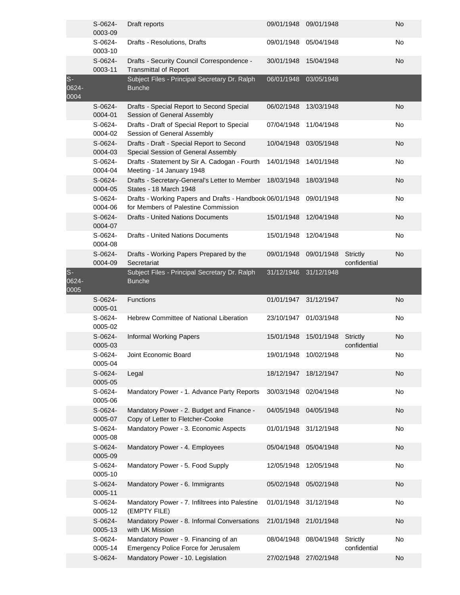|                       | S-0624-<br>0003-09   | Draft reports                                                                                   | 09/01/1948 | 09/01/1948 |                                 | No        |
|-----------------------|----------------------|-------------------------------------------------------------------------------------------------|------------|------------|---------------------------------|-----------|
|                       | S-0624-<br>0003-10   | Drafts - Resolutions, Drafts                                                                    | 09/01/1948 | 05/04/1948 |                                 | No        |
|                       | S-0624-<br>0003-11   | Drafts - Security Council Correspondence -<br><b>Transmittal of Report</b>                      | 30/01/1948 | 15/04/1948 |                                 | <b>No</b> |
| $S-$<br>0624-<br>0004 |                      | Subject Files - Principal Secretary Dr. Ralph<br><b>Bunche</b>                                  | 06/01/1948 | 03/05/1948 |                                 |           |
|                       | $S-0624-$<br>0004-01 | Drafts - Special Report to Second Special<br>Session of General Assembly                        | 06/02/1948 | 13/03/1948 |                                 | <b>No</b> |
|                       | S-0624-<br>0004-02   | Drafts - Draft of Special Report to Special<br>Session of General Assembly                      | 07/04/1948 | 11/04/1948 |                                 | No        |
|                       | S-0624-<br>0004-03   | Drafts - Draft - Special Report to Second<br>Special Session of General Assembly                | 10/04/1948 | 03/05/1948 |                                 | <b>No</b> |
|                       | S-0624-<br>0004-04   | Drafts - Statement by Sir A. Cadogan - Fourth<br>Meeting - 14 January 1948                      | 14/01/1948 | 14/01/1948 |                                 | No        |
|                       | $S-0624-$<br>0004-05 | Drafts - Secretary-General's Letter to Member 18/03/1948<br>States - 18 March 1948              |            | 18/03/1948 |                                 | <b>No</b> |
|                       | S-0624-<br>0004-06   | Drafts - Working Papers and Drafts - Handbook 06/01/1948<br>for Members of Palestine Commission |            | 09/01/1948 |                                 | No        |
|                       | S-0624-<br>0004-07   | <b>Drafts - United Nations Documents</b>                                                        | 15/01/1948 | 12/04/1948 |                                 | <b>No</b> |
|                       | S-0624-<br>0004-08   | <b>Drafts - United Nations Documents</b>                                                        | 15/01/1948 | 12/04/1948 |                                 | <b>No</b> |
|                       | S-0624-<br>0004-09   | Drafts - Working Papers Prepared by the<br>Secretariat                                          | 09/01/1948 | 09/01/1948 | Strictly<br>confidential        | <b>No</b> |
| $S-$<br>0624-<br>0005 |                      | Subject Files - Principal Secretary Dr. Ralph<br><b>Bunche</b>                                  | 31/12/1946 | 31/12/1948 |                                 |           |
|                       |                      |                                                                                                 |            |            |                                 |           |
|                       | $S-0624-$<br>0005-01 | <b>Functions</b>                                                                                | 01/01/1947 | 31/12/1947 |                                 | <b>No</b> |
|                       | S-0624-<br>0005-02   | Hebrew Committee of National Liberation                                                         | 23/10/1947 | 01/03/1948 |                                 | No        |
|                       | $S-0624-$<br>0005-03 | <b>Informal Working Papers</b>                                                                  | 15/01/1948 | 15/01/1948 | <b>Strictly</b><br>confidential | No        |
|                       | S-0624-<br>0005-04   | Joint Economic Board                                                                            | 19/01/1948 | 10/02/1948 |                                 | No        |
|                       | S-0624-<br>0005-05   | Legal                                                                                           | 18/12/1947 | 18/12/1947 |                                 | <b>No</b> |
|                       | S-0624-<br>0005-06   | Mandatory Power - 1. Advance Party Reports                                                      | 30/03/1948 | 02/04/1948 |                                 | No        |
|                       | S-0624-<br>0005-07   | Mandatory Power - 2. Budget and Finance -<br>Copy of Letter to Fletcher-Cooke                   | 04/05/1948 | 04/05/1948 |                                 | <b>No</b> |
|                       | S-0624-<br>0005-08   | Mandatory Power - 3. Economic Aspects                                                           | 01/01/1948 | 31/12/1948 |                                 | No        |
|                       | S-0624-<br>0005-09   | Mandatory Power - 4. Employees                                                                  | 05/04/1948 | 05/04/1948 |                                 | <b>No</b> |
|                       | S-0624-<br>0005-10   | Mandatory Power - 5. Food Supply                                                                | 12/05/1948 | 12/05/1948 |                                 | No        |
|                       | S-0624-<br>0005-11   | Mandatory Power - 6. Immigrants                                                                 | 05/02/1948 | 05/02/1948 |                                 | <b>No</b> |
|                       | S-0624-<br>0005-12   | Mandatory Power - 7. Infiltrees into Palestine<br>(EMPTY FILE)                                  | 01/01/1948 | 31/12/1948 |                                 | No        |
|                       | S-0624-<br>0005-13   | Mandatory Power - 8. Informal Conversations<br>with UK Mission                                  | 21/01/1948 | 21/01/1948 |                                 | No        |
|                       | S-0624-<br>0005-14   | Mandatory Power - 9. Financing of an<br>Emergency Police Force for Jerusalem                    | 08/04/1948 | 08/04/1948 | <b>Strictly</b><br>confidential | No        |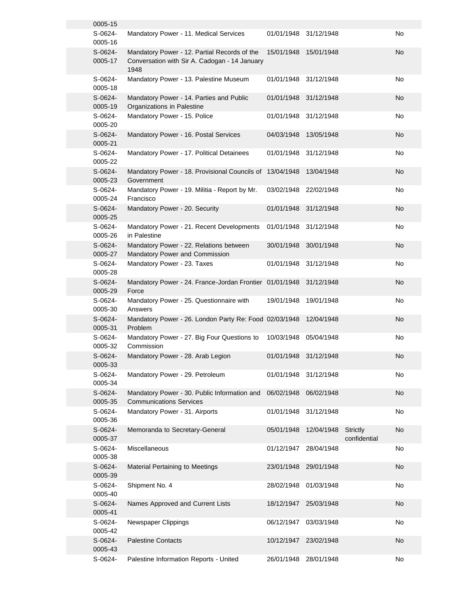| 0005-15              |                                                                                                       |                       |            |                                 |    |
|----------------------|-------------------------------------------------------------------------------------------------------|-----------------------|------------|---------------------------------|----|
| S-0624-<br>0005-16   | Mandatory Power - 11. Medical Services                                                                | 01/01/1948 31/12/1948 |            |                                 | No |
| S-0624-<br>0005-17   | Mandatory Power - 12. Partial Records of the<br>Conversation with Sir A. Cadogan - 14 January<br>1948 | 15/01/1948            | 15/01/1948 |                                 | No |
| S-0624-<br>0005-18   | Mandatory Power - 13. Palestine Museum                                                                | 01/01/1948            | 31/12/1948 |                                 | No |
| S-0624-<br>0005-19   | Mandatory Power - 14. Parties and Public<br>Organizations in Palestine                                | 01/01/1948            | 31/12/1948 |                                 | No |
| S-0624-<br>0005-20   | Mandatory Power - 15. Police                                                                          | 01/01/1948            | 31/12/1948 |                                 | No |
| $S-0624-$<br>0005-21 | Mandatory Power - 16. Postal Services                                                                 | 04/03/1948            | 13/05/1948 |                                 | No |
| S-0624-<br>0005-22   | Mandatory Power - 17. Political Detainees                                                             | 01/01/1948            | 31/12/1948 |                                 | No |
| S-0624-<br>0005-23   | Mandatory Power - 18. Provisional Councils of 13/04/1948<br>Government                                |                       | 13/04/1948 |                                 | No |
| S-0624-<br>0005-24   | Mandatory Power - 19. Militia - Report by Mr.<br>Francisco                                            | 03/02/1948            | 22/02/1948 |                                 | No |
| S-0624-<br>0005-25   | Mandatory Power - 20. Security                                                                        | 01/01/1948            | 31/12/1948 |                                 | No |
| S-0624-<br>0005-26   | Mandatory Power - 21. Recent Developments<br>in Palestine                                             | 01/01/1948            | 31/12/1948 |                                 | No |
| $S-0624-$<br>0005-27 | Mandatory Power - 22. Relations between<br>Mandatory Power and Commission                             | 30/01/1948 30/01/1948 |            |                                 | No |
| S-0624-<br>0005-28   | Mandatory Power - 23. Taxes                                                                           | 01/01/1948            | 31/12/1948 |                                 | No |
| $S-0624-$<br>0005-29 | Mandatory Power - 24. France-Jordan Frontier 01/01/1948<br>Force                                      |                       | 31/12/1948 |                                 | No |
| S-0624-<br>0005-30   | Mandatory Power - 25. Questionnaire with<br>Answers                                                   | 19/01/1948            | 19/01/1948 |                                 | No |
| S-0624-<br>0005-31   | Mandatory Power - 26. London Party Re: Food 02/03/1948<br>Problem                                     |                       | 12/04/1948 |                                 | No |
| S-0624-<br>0005-32   | Mandatory Power - 27. Big Four Questions to<br>Commission                                             | 10/03/1948            | 05/04/1948 |                                 | No |
| S-0624-<br>0005-33   | Mandatory Power - 28. Arab Legion                                                                     | 01/01/1948            | 31/12/1948 |                                 | No |
| S-0624-<br>0005-34   | Mandatory Power - 29. Petroleum                                                                       | 01/01/1948            | 31/12/1948 |                                 | No |
| S-0624-<br>0005-35   | Mandatory Power - 30. Public Information and<br><b>Communications Services</b>                        | 06/02/1948            | 06/02/1948 |                                 | No |
| S-0624-<br>0005-36   | Mandatory Power - 31. Airports                                                                        | 01/01/1948            | 31/12/1948 |                                 | No |
| $S-0624-$<br>0005-37 | Memoranda to Secretary-General                                                                        | 05/01/1948            | 12/04/1948 | <b>Strictly</b><br>confidential | No |
| S-0624-<br>0005-38   | Miscellaneous                                                                                         | 01/12/1947            | 28/04/1948 |                                 | No |
| $S-0624-$<br>0005-39 | <b>Material Pertaining to Meetings</b>                                                                | 23/01/1948            | 29/01/1948 |                                 | No |
| S-0624-<br>0005-40   | Shipment No. 4                                                                                        | 28/02/1948            | 01/03/1948 |                                 | No |
| S-0624-<br>0005-41   | Names Approved and Current Lists                                                                      | 18/12/1947            | 25/03/1948 |                                 | No |
| $S-0624-$<br>0005-42 | Newspaper Clippings                                                                                   | 06/12/1947            | 03/03/1948 |                                 | No |
| $S-0624-$<br>0005-43 | <b>Palestine Contacts</b>                                                                             | 10/12/1947            | 23/02/1948 |                                 | No |
| S-0624-              | Palestine Information Reports - United                                                                | 26/01/1948            | 28/01/1948 |                                 | No |